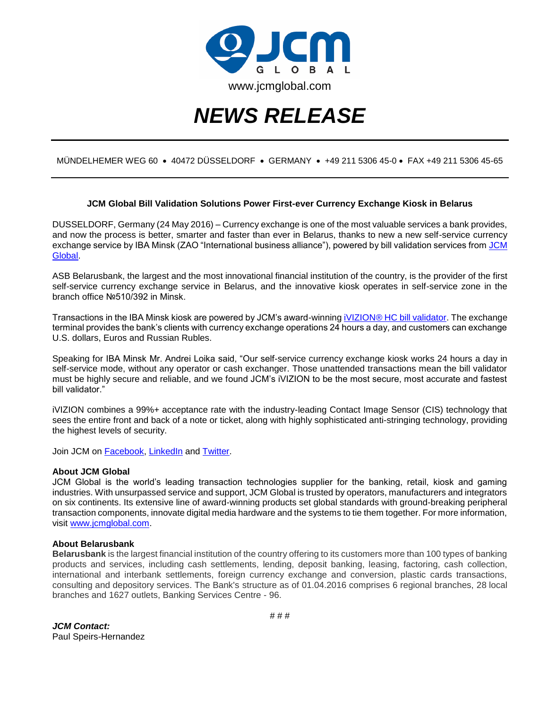

# *NEWS RELEASE*

## MÜNDELHEMER WEG 60 40472 DÜSSELDORF GERMANY +49 211 5306 45-0 FAX +49 211 5306 45-65

### **JCM Global Bill Validation Solutions Power First-ever Currency Exchange Kiosk in Belarus**

DUSSELDORF, Germany (24 May 2016) – Currency exchange is one of the most valuable services a bank provides, and now the process is better, smarter and faster than ever in Belarus, thanks to new a new self-service currency exchange service by IBA Minsk (ZAO "International business alliance"), powered by bill validation services from JCM [Global.](http://www.jcmglobal.com/)

ASB Belarusbank, the largest and the most innovational financial institution of the country, is the provider of the first self-service currency exchange service in Belarus, and the innovative kiosk operates in self-service zone in the branch office №510/392 in Minsk.

Transactions in the IBA Minsk kiosk are powered by JCM's award-winnin[g iVIZION® HC bill validator.](http://www.ivizion.jcmglobal.com/) The exchange terminal provides the bank's clients with currency exchange operations 24 hours a day, and customers can exchange U.S. dollars, Euros and Russian Rubles.

Speaking for IBA Minsk Mr. Andrei Loika said, "Our self-service currency exchange kiosk works 24 hours a day in self-service mode, without any operator or cash exchanger. Those unattended transactions mean the bill validator must be highly secure and reliable, and we found JCM's iVIZION to be the most secure, most accurate and fastest bill validator."

iVIZION combines a 99%+ acceptance rate with the industry-leading Contact Image Sensor (CIS) technology that sees the entire front and back of a note or ticket, along with highly sophisticated anti-stringing technology, providing the highest levels of security.

Join JCM on [Facebook,](https://www.facebook.com/JCMglobal) [LinkedIn](https://www.linkedin.com/company/2222147?trk=tyah&trkInfo=clickedVertical%3Acompany%2Cidx%3A1-1-1%2CtarId%3A1437512748233%2Ctas%3Ajcm%20global) and [Twitter.](https://twitter.com/JCMGlobal)

#### **About JCM Global**

JCM Global is the world's leading transaction technologies supplier for the banking, retail, kiosk and gaming industries. With unsurpassed service and support, JCM Global is trusted by operators, manufacturers and integrators on six continents. Its extensive line of award-winning products set global standards with ground-breaking peripheral transaction components, innovate digital media hardware and the systems to tie them together. For more information, visit [www.jcmglobal.com.](http://www.jcmglobal.com/)

#### **About Belarusbank**

**Belarusbank** is the largest financial institution of the country offering to its customers more than 100 types of banking products and services, including cash settlements, lending, deposit banking, leasing, factoring, cash collection, international and interbank settlements, foreign currency exchange and conversion, plastic cards transactions, consulting and depository services. The Bank's structure as of 01.04.2016 comprises 6 regional branches, 28 local branches and 1627 outlets, Banking Services Centre - 96.